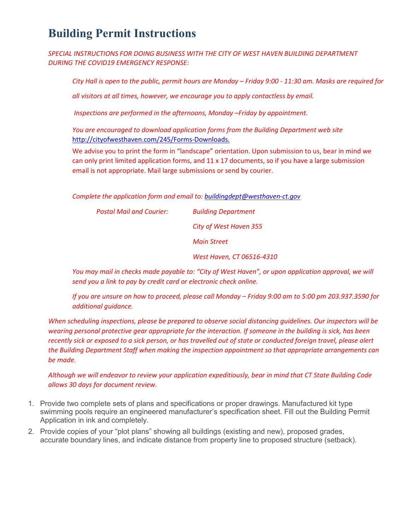## **Building Permit Instructions**

*SPECIAL INSTRUCTIONS FOR DOING BUSINESS WITH THE CITY OF WEST HAVEN BUILDING DEPARTMENT DURING THE COVID19 EMERGENCY RESPONSE:*

*City Hall is open to the public, permit hours are Monday – Friday 9:00 - 11:30 am. Masks are required for* 

*all visitors at all times, however, we encourage you to apply contactless by email.*

*Inspections are performed in the afternoons, Monday –Friday by appointment.*

*You are encouraged to download application forms from the Building Department web site*  http://cityofwesthaven.com/245/Forms-Downloads.

We advise you to print the form in "landscape" orientation. Upon submission to us, bear in mind we can only print limited application forms, and  $11 \times 17$  documents, so if you have a large submission email is not appropriate. Mail large submissions or send by courier.

*Complete the application form and email to: buildingdept@westhaven-ct.gov*

| Postal Mail and Courier: | <b>Building Department</b> |
|--------------------------|----------------------------|
|                          | City of West Haven 355     |
|                          | Main Street                |
|                          | West Haven, CT 06516-4310  |

*You may mail in checks made payable to: "City of West Haven", or upon application approval, we will send you a link to pay by credit card or electronic check online.*

*If you are unsure on how to proceed, please call Monday – Friday 9:00 am to 5:00 pm 203.937.3590 for additional guidance.*

*When scheduling inspections, please be prepared to observe social distancing guidelines. Our inspectors will be wearing personal protective gear appropriate for the interaction. If someone in the building is sick, has been recently sick or exposed to a sick person, or has travelled out of state or conducted foreign travel, please alert the Building Department Staff when making the inspection appointment so that appropriate arrangements can be made.*

*Although we will endeavor to review your application expeditiously, bear in mind that CT State Building Code allows 30 days for document review.*

- 1. Provide two complete sets of plans and specifications or proper drawings. Manufactured kit type swimming pools require an engineered manufacturer's specification sheet. Fill out the Building Permit Application in ink and completely.
- 2. Provide copies of your "plot plans" showing all buildings (existing and new), proposed grades, accurate boundary lines, and indicate distance from property line to proposed structure (setback).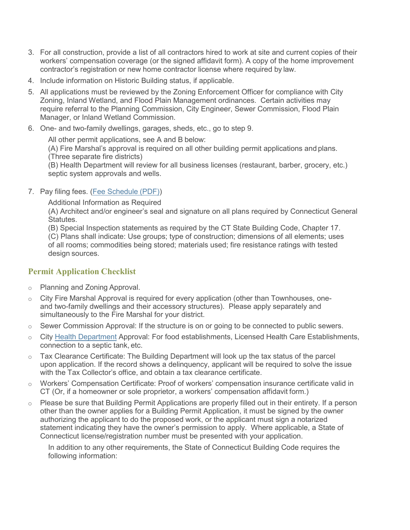- 3. For all construction, provide a list of all contractors hired to work at site and current copies of their workers' compensation coverage (or the signed affidavit form). A copy of the home improvement contractor's registration or new home contractor license where required by law.
- 4. Include information on Historic Building status, if applicable.
- 5. All applications must be reviewed by the Zoning Enforcement Officer for compliance with City Zoning, Inland Wetland, and Flood Plain Management ordinances. Certain activities may require referral to the Planning Commission, City Engineer, Sewer Commission, Flood Plain Manager, or Inland Wetland Commission.
- 6. One- and two-family dwellings, garages, sheds, etc., go to step 9.

All other permit applications, see A and B below:

(A) Fire Marshal's approval is required on all other building permit applications and plans. (Three separate fire districts)

(B) Health Department will review for all business licenses (restaurant, barber, grocery, etc.) septic system approvals and wells.

## 7. Pay filing fees. (Fee Schedule (PDF))

Additional Information as Required

(A) Architect and/or engineer's seal and signature on all plans required by Connecticut General Statutes.

(B) Special Inspection statements as required by the CT State Building Code, Chapter 17.

(C) Plans shall indicate: Use groups; type of construction; dimensions of all elements; uses of all rooms; commodities being stored; materials used; fire resistance ratings with tested design sources.

## **Permit Application Checklist**

- o Planning and Zoning Approval.
- o City Fire Marshal Approval is required for every application (other than Townhouses, oneand two-family dwellings and their accessory structures). Please apply separately and simultaneously to the Fire Marshal for your district.
- $\circ$  Sewer Commission Approval: If the structure is on or going to be connected to public sewers.
- o City Health Department Approval: For food establishments, Licensed Health Care Establishments, connection to a septic tank, etc.
- $\circ$  Tax Clearance Certificate: The Building Department will look up the tax status of the parcel upon application. If the record shows a delinquency, applicant will be required to solve the issue with the Tax Collector's office, and obtain a tax clearance certificate.
- o Workers' Compensation Certificate: Proof of workers' compensation insurance certificate valid in CT (Or, if a homeowner or sole proprietor, a workers' compensation affidavit form.)
- o Please be sure that Building Permit Applications are properly filled out in their entirety. If a person other than the owner applies for a Building Permit Application, it must be signed by the owner authorizing the applicant to do the proposed work, or the applicant must sign a notarized statement indicating they have the owner's permission to apply. Where applicable, a State of Connecticut license/registration number must be presented with your application.

In addition to any other requirements, the State of Connecticut Building Code requires the following information: